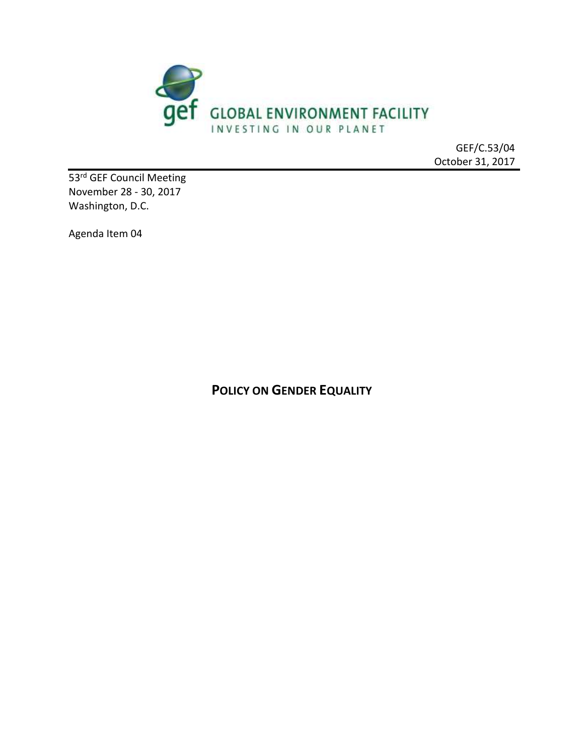

GEF/C.53/04 October 31, 2017

53<sup>rd</sup> GEF Council Meeting November 28 - 30, 2017 Washington, D.C.

Agenda Item 04

**POLICY ON GENDER EQUALITY**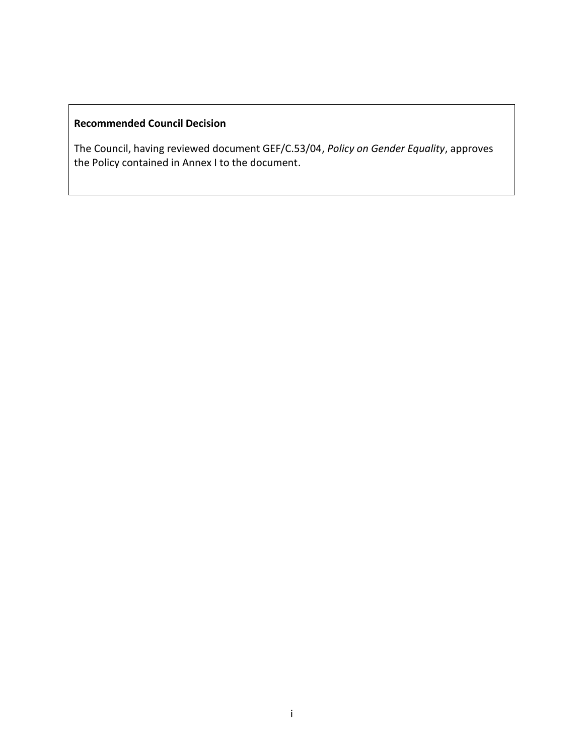# **Recommended Council Decision**

The Council, having reviewed document GEF/C.53/04, *Policy on Gender Equality*, approves the Policy contained in Annex I to the document.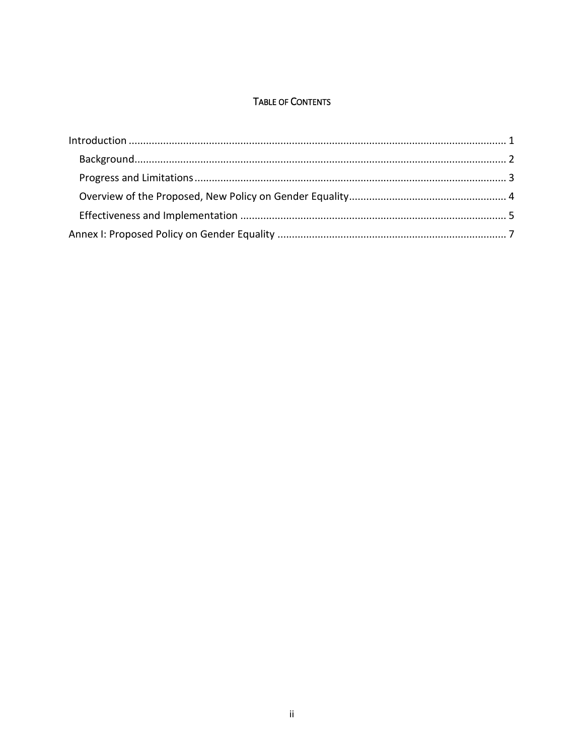### TABLE OF CONTENTS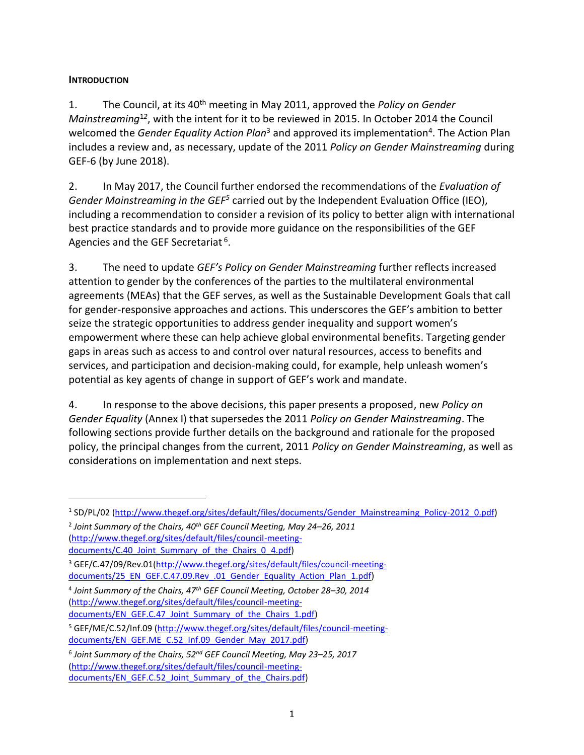#### <span id="page-3-0"></span>**INTRODUCTION**

 $\overline{a}$ 

1. The Council, at its 40th meeting in May 2011, approved the *Policy on Gender Mainstreaming*<sup>1</sup>*<sup>2</sup>* , with the intent for it to be reviewed in 2015. In October 2014 the Council welcomed the *Gender Equality Action Plan*<sup>3</sup> and approved its implementation<sup>4</sup>. The Action Plan includes a review and, as necessary, update of the 2011 *Policy on Gender Mainstreaming* during GEF-6 (by June 2018).

2. In May 2017, the Council further endorsed the recommendations of the *Evaluation of*  Gender Mainstreaming in the GEF<sup>5</sup> carried out by the Independent Evaluation Office (IEO), including a recommendation to consider a revision of its policy to better align with international best practice standards and to provide more guidance on the responsibilities of the GEF Agencies and the GEF Secretariat <sup>6</sup>.

3. The need to update *GEF's Policy on Gender Mainstreaming* further reflects increased attention to gender by the conferences of the parties to the multilateral environmental agreements (MEAs) that the GEF serves, as well as the Sustainable Development Goals that call for gender-responsive approaches and actions. This underscores the GEF's ambition to better seize the strategic opportunities to address gender inequality and support women's empowerment where these can help achieve global environmental benefits. Targeting gender gaps in areas such as access to and control over natural resources, access to benefits and services, and participation and decision-making could, for example, help unleash women's potential as key agents of change in support of GEF's work and mandate.

4. In response to the above decisions, this paper presents a proposed, new *Policy on Gender Equality* (Annex I) that supersedes the 2011 *Policy on Gender Mainstreaming*. The following sections provide further details on the background and rationale for the proposed policy, the principal changes from the current, 2011 *Policy on Gender Mainstreaming*, as well as considerations on implementation and next steps.

<sup>&</sup>lt;sup>1</sup>SD/PL/02 [\(http://www.thegef.org/sites/default/files/documents/Gender\\_Mainstreaming\\_Policy-2012\\_0.pdf\)](http://www.thegef.org/sites/default/files/documents/Gender_Mainstreaming_Policy-2012_0.pdf)

<sup>2</sup> *Joint Summary of the Chairs, 40th GEF Council Meeting, May 24–26, 2011* [\(http://www.thegef.org/sites/default/files/council-meeting](http://www.thegef.org/sites/default/files/council-meeting-documents/C.40_Joint_Summary_of_the_Chairs_0_4.pdf)[documents/C.40\\_Joint\\_Summary\\_of\\_the\\_Chairs\\_0\\_4.pdf\)](http://www.thegef.org/sites/default/files/council-meeting-documents/C.40_Joint_Summary_of_the_Chairs_0_4.pdf)

<sup>&</sup>lt;sup>3</sup> GEF/C.47/09/Rev.01[\(http://www.thegef.org/sites/default/files/council-meeting](http://www.thegef.org/sites/default/files/council-meeting-documents/25_EN_GEF.C.47.09.Rev_.01_Gender_Equality_Action_Plan_1.pdf)[documents/25\\_EN\\_GEF.C.47.09.Rev\\_.01\\_Gender\\_Equality\\_Action\\_Plan\\_1.pdf\)](http://www.thegef.org/sites/default/files/council-meeting-documents/25_EN_GEF.C.47.09.Rev_.01_Gender_Equality_Action_Plan_1.pdf)

<sup>4</sup> *Joint Summary of the Chairs, 47th GEF Council Meeting, October 28–30, 2014* [\(http://www.thegef.org/sites/default/files/council-meeting](http://www.thegef.org/sites/default/files/council-meeting-documents/EN_GEF.C.47_Joint_Summary_of_the_Chairs_1.pdf)[documents/EN\\_GEF.C.47\\_Joint\\_Summary\\_of\\_the\\_Chairs\\_1.pdf\)](http://www.thegef.org/sites/default/files/council-meeting-documents/EN_GEF.C.47_Joint_Summary_of_the_Chairs_1.pdf)

<sup>&</sup>lt;sup>5</sup> GEF/ME/C.52/Inf.09 [\(http://www.thegef.org/sites/default/files/council-meeting](http://www.thegef.org/sites/default/files/council-meeting-documents/EN_GEF.ME_C.52_Inf.09_Gender_May_2017.pdf)[documents/EN\\_GEF.ME\\_C.52\\_Inf.09\\_Gender\\_May\\_2017.pdf\)](http://www.thegef.org/sites/default/files/council-meeting-documents/EN_GEF.ME_C.52_Inf.09_Gender_May_2017.pdf)

<sup>6</sup> *Joint Summary of the Chairs, 52nd GEF Council Meeting, May 23–25, 2017* [\(http://www.thegef.org/sites/default/files/council-meeting](http://www.thegef.org/sites/default/files/council-meeting-documents/EN_GEF.C.52_Joint_Summary_of_the_Chairs.pdf)[documents/EN\\_GEF.C.52\\_Joint\\_Summary\\_of\\_the\\_Chairs.pdf\)](http://www.thegef.org/sites/default/files/council-meeting-documents/EN_GEF.C.52_Joint_Summary_of_the_Chairs.pdf)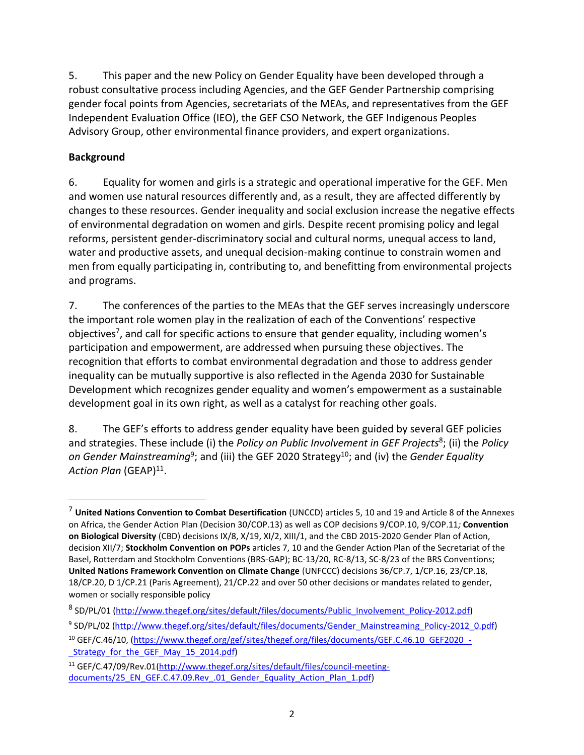5. This paper and the new Policy on Gender Equality have been developed through a robust consultative process including Agencies, and the GEF Gender Partnership comprising gender focal points from Agencies, secretariats of the MEAs, and representatives from the GEF Independent Evaluation Office (IEO), the GEF CSO Network, the GEF Indigenous Peoples Advisory Group, other environmental finance providers, and expert organizations.

### <span id="page-4-0"></span>**Background**

 $\overline{a}$ 

6. Equality for women and girls is a strategic and operational imperative for the GEF. Men and women use natural resources differently and, as a result, they are affected differently by changes to these resources. Gender inequality and social exclusion increase the negative effects of environmental degradation on women and girls. Despite recent promising policy and legal reforms, persistent gender-discriminatory social and cultural norms, unequal access to land, water and productive assets, and unequal decision-making continue to constrain women and men from equally participating in, contributing to, and benefitting from environmental projects and programs.

7. The conferences of the parties to the MEAs that the GEF serves increasingly underscore the important role women play in the realization of each of the Conventions' respective objectives<sup>7</sup>, and call for specific actions to ensure that gender equality, including women's participation and empowerment, are addressed when pursuing these objectives. The recognition that efforts to combat environmental degradation and those to address gender inequality can be mutually supportive is also reflected in the Agenda 2030 for Sustainable Development which recognizes gender equality and women's empowerment as a sustainable development goal in its own right, as well as a catalyst for reaching other goals.

8. The GEF's efforts to address gender equality have been guided by several GEF policies and strategies. These include (i) the *Policy on Public Involvement in GEF Projects*<sup>8</sup> ; (ii) the *Policy*  on Gender Mainstreaming<sup>9</sup>; and (iii) the GEF 2020 Strategy<sup>10</sup>; and (iv) the *Gender Equality* Action Plan (GEAP)<sup>11</sup>.

<sup>7</sup> **United Nations Convention to Combat Desertification** (UNCCD) articles 5, 10 and 19 and Article 8 of the Annexes on Africa, the Gender Action Plan (Decision 30/COP.13) as well as COP decisions 9/COP.10, 9/COP.11*;* **Convention on Biological Diversity** (CBD) decisions IX/8, X/19, XI/2, XIII/1, and the CBD 2015-2020 Gender Plan of Action, decision XII/7; **Stockholm Convention on POPs** articles 7, 10 and the Gender Action Plan of the Secretariat of the Basel, Rotterdam and Stockholm Conventions (BRS-GAP); BC-13/20, RC-8/13, SC-8/23 of the BRS Conventions; **United Nations Framework Convention on Climate Change** (UNFCCC) decisions 36/CP.7, 1/CP.16, 23/CP.18, 18/CP.20, D 1/CP.21 (Paris Agreement), 21/CP.22 and over 50 other decisions or mandates related to gender, women or socially responsible policy

<sup>&</sup>lt;sup>8</sup>SD/PL/01 [\(http://www.thegef.org/sites/default/files/documents/Public\\_Involvement\\_Policy-2012.pdf\)](http://www.thegef.org/sites/default/files/documents/Public_Involvement_Policy-2012.pdf)

<sup>&</sup>lt;sup>9</sup>SD/PL/02 [\(http://www.thegef.org/sites/default/files/documents/Gender\\_Mainstreaming\\_Policy-2012\\_0.pdf\)](http://www.thegef.org/sites/default/files/documents/Gender_Mainstreaming_Policy-2012_0.pdf)

<sup>&</sup>lt;sup>10</sup> GEF/C.46/10, [\(https://www.thegef.org/gef/sites/thegef.org/files/documents/GEF.C.46.10\\_GEF2020\\_-](https://www.thegef.org/gef/sites/thegef.org/files/documents/GEF.C.46.10_GEF2020_-_Strategy_for_the_GEF_May_15_2014.pdf) [\\_Strategy\\_for\\_the\\_GEF\\_May\\_15\\_2014.pdf\)](https://www.thegef.org/gef/sites/thegef.org/files/documents/GEF.C.46.10_GEF2020_-_Strategy_for_the_GEF_May_15_2014.pdf)

<sup>11</sup> GEF/C.47/09/Rev.01[\(http://www.thegef.org/sites/default/files/council-meeting](http://www.thegef.org/sites/default/files/council-meeting-documents/25_EN_GEF.C.47.09.Rev_.01_Gender_Equality_Action_Plan_1.pdf)[documents/25\\_EN\\_GEF.C.47.09.Rev\\_.01\\_Gender\\_Equality\\_Action\\_Plan\\_1.pdf\)](http://www.thegef.org/sites/default/files/council-meeting-documents/25_EN_GEF.C.47.09.Rev_.01_Gender_Equality_Action_Plan_1.pdf)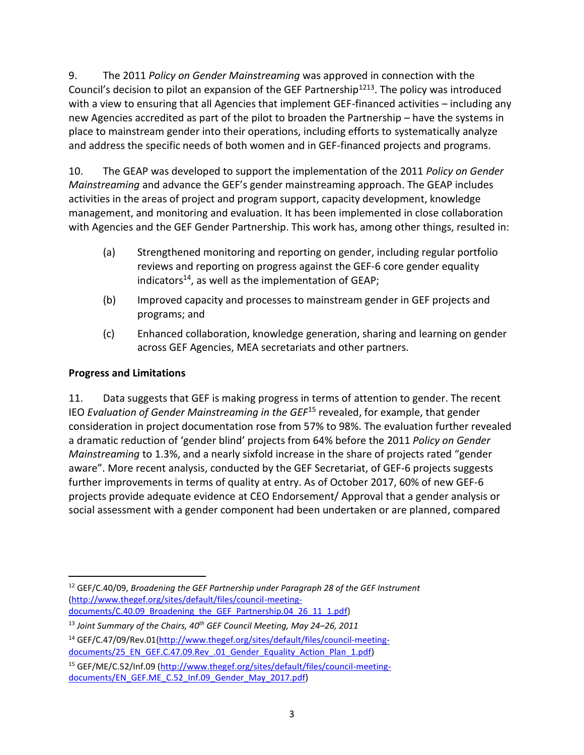9. The 2011 *Policy on Gender Mainstreaming* was approved in connection with the Council's decision to pilot an expansion of the GEF Partnership<sup>1213</sup>. The policy was introduced with a view to ensuring that all Agencies that implement GEF-financed activities – including any new Agencies accredited as part of the pilot to broaden the Partnership – have the systems in place to mainstream gender into their operations, including efforts to systematically analyze and address the specific needs of both women and in GEF-financed projects and programs.

10. The GEAP was developed to support the implementation of the 2011 *Policy on Gender Mainstreaming* and advance the GEF's gender mainstreaming approach. The GEAP includes activities in the areas of project and program support, capacity development, knowledge management, and monitoring and evaluation. It has been implemented in close collaboration with Agencies and the GEF Gender Partnership. This work has, among other things, resulted in:

- (a) Strengthened monitoring and reporting on gender, including regular portfolio reviews and reporting on progress against the GEF-6 core gender equality indicators<sup>14</sup>, as well as the implementation of GEAP;
- (b) Improved capacity and processes to mainstream gender in GEF projects and programs; and
- (c) Enhanced collaboration, knowledge generation, sharing and learning on gender across GEF Agencies, MEA secretariats and other partners.

# <span id="page-5-0"></span>**Progress and Limitations**

11. Data suggests that GEF is making progress in terms of attention to gender. The recent IEO *Evaluation of Gender Mainstreaming in the GEF*<sup>15</sup> revealed, for example, that gender consideration in project documentation rose from 57% to 98%. The evaluation further revealed a dramatic reduction of 'gender blind' projects from 64% before the 2011 *Policy on Gender Mainstreaming* to 1.3%, and a nearly sixfold increase in the share of projects rated "gender aware". More recent analysis, conducted by the GEF Secretariat, of GEF-6 projects suggests further improvements in terms of quality at entry. As of October 2017, 60% of new GEF-6 projects provide adequate evidence at CEO Endorsement/ Approval that a gender analysis or social assessment with a gender component had been undertaken or are planned, compared

 $\overline{a}$ <sup>12</sup> GEF/C.40/09, *Broadening the GEF Partnership under Paragraph 28 of the GEF Instrument* [\(http://www.thegef.org/sites/default/files/council-meeting](http://www.thegef.org/sites/default/files/council-meeting-documents/C.40.09_Broadening_the_GEF_Partnership.04_26_11_1.pdf)documents/C.40.09 Broadening the GEF Partnership.04 26 11 1.pdf)

<sup>13</sup> *Joint Summary of the Chairs, 40 th GEF Council Meeting, May 24–26, 2011*

<sup>&</sup>lt;sup>14</sup> GEF/C.47/09/Rev.01[\(http://www.thegef.org/sites/default/files/council-meeting](http://www.thegef.org/sites/default/files/council-meeting-documents/25_EN_GEF.C.47.09.Rev_.01_Gender_Equality_Action_Plan_1.pdf)[documents/25\\_EN\\_GEF.C.47.09.Rev\\_.01\\_Gender\\_Equality\\_Action\\_Plan\\_1.pdf\)](http://www.thegef.org/sites/default/files/council-meeting-documents/25_EN_GEF.C.47.09.Rev_.01_Gender_Equality_Action_Plan_1.pdf)

<sup>15</sup> GEF/ME/C.52/Inf.09 [\(http://www.thegef.org/sites/default/files/council-meeting](http://www.thegef.org/sites/default/files/council-meeting-documents/EN_GEF.ME_C.52_Inf.09_Gender_May_2017.pdf)[documents/EN\\_GEF.ME\\_C.52\\_Inf.09\\_Gender\\_May\\_2017.pdf\)](http://www.thegef.org/sites/default/files/council-meeting-documents/EN_GEF.ME_C.52_Inf.09_Gender_May_2017.pdf)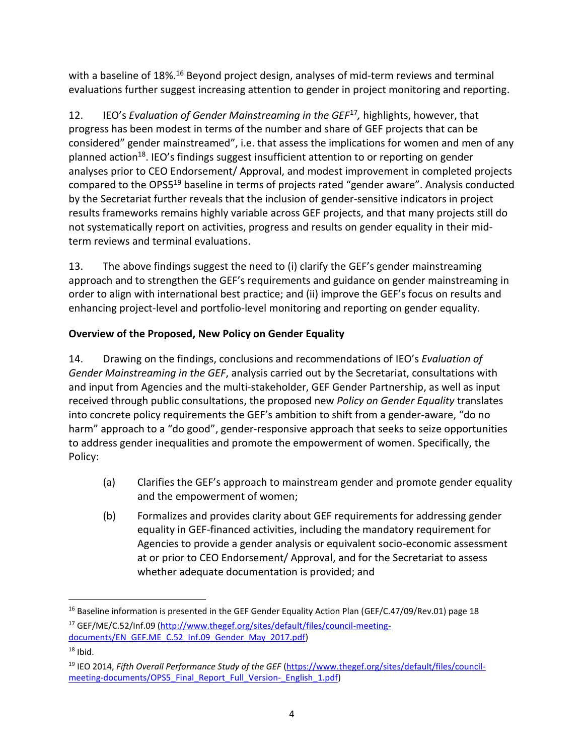with a baseline of 18%.<sup>16</sup> Beyond project design, analyses of mid-term reviews and terminal evaluations further suggest increasing attention to gender in project monitoring and reporting.

12. IEO's *Evaluation of Gender Mainstreaming in the GEF<sup>17</sup>, highlights, however, that* progress has been modest in terms of the number and share of GEF projects that can be considered" gender mainstreamed", i.e. that assess the implications for women and men of any planned action<sup>18</sup>. IEO's findings suggest insufficient attention to or reporting on gender analyses prior to CEO Endorsement/ Approval, and modest improvement in completed projects compared to the OPS5<sup>19</sup> baseline in terms of projects rated "gender aware". Analysis conducted by the Secretariat further reveals that the inclusion of gender-sensitive indicators in project results frameworks remains highly variable across GEF projects, and that many projects still do not systematically report on activities, progress and results on gender equality in their midterm reviews and terminal evaluations.

13. The above findings suggest the need to (i) clarify the GEF's gender mainstreaming approach and to strengthen the GEF's requirements and guidance on gender mainstreaming in order to align with international best practice; and (ii) improve the GEF's focus on results and enhancing project-level and portfolio-level monitoring and reporting on gender equality.

# <span id="page-6-0"></span>**Overview of the Proposed, New Policy on Gender Equality**

14. Drawing on the findings, conclusions and recommendations of IEO's *Evaluation of Gender Mainstreaming in the GEF*, analysis carried out by the Secretariat, consultations with and input from Agencies and the multi-stakeholder, GEF Gender Partnership, as well as input received through public consultations, the proposed new *Policy on Gender Equality* translates into concrete policy requirements the GEF's ambition to shift from a gender-aware, "do no harm" approach to a "do good", gender-responsive approach that seeks to seize opportunities to address gender inequalities and promote the empowerment of women. Specifically, the Policy:

- (a) Clarifies the GEF's approach to mainstream gender and promote gender equality and the empowerment of women;
- (b) Formalizes and provides clarity about GEF requirements for addressing gender equality in GEF-financed activities, including the mandatory requirement for Agencies to provide a gender analysis or equivalent socio-economic assessment at or prior to CEO Endorsement/ Approval, and for the Secretariat to assess whether adequate documentation is provided; and

 $\overline{a}$ 

<sup>&</sup>lt;sup>16</sup> Baseline information is presented in the GEF Gender Equality Action Plan (GEF/C.47/09/Rev.01) page 18 <sup>17</sup> GEF/ME/C.52/Inf.09 [\(http://www.thegef.org/sites/default/files/council-meeting](http://www.thegef.org/sites/default/files/council-meeting-documents/EN_GEF.ME_C.52_Inf.09_Gender_May_2017.pdf)[documents/EN\\_GEF.ME\\_C.52\\_Inf.09\\_Gender\\_May\\_2017.pdf\)](http://www.thegef.org/sites/default/files/council-meeting-documents/EN_GEF.ME_C.52_Inf.09_Gender_May_2017.pdf)

 $18$  Ibid.

<sup>19</sup> IEO 2014, *Fifth Overall Performance Study of the GEF* [\(https://www.thegef.org/sites/default/files/council](https://www.thegef.org/sites/default/files/council-meeting-documents/OPS5_Final_Report_Full_Version-_English_1.pdf)[meeting-documents/OPS5\\_Final\\_Report\\_Full\\_Version-\\_English\\_1.pdf\)](https://www.thegef.org/sites/default/files/council-meeting-documents/OPS5_Final_Report_Full_Version-_English_1.pdf)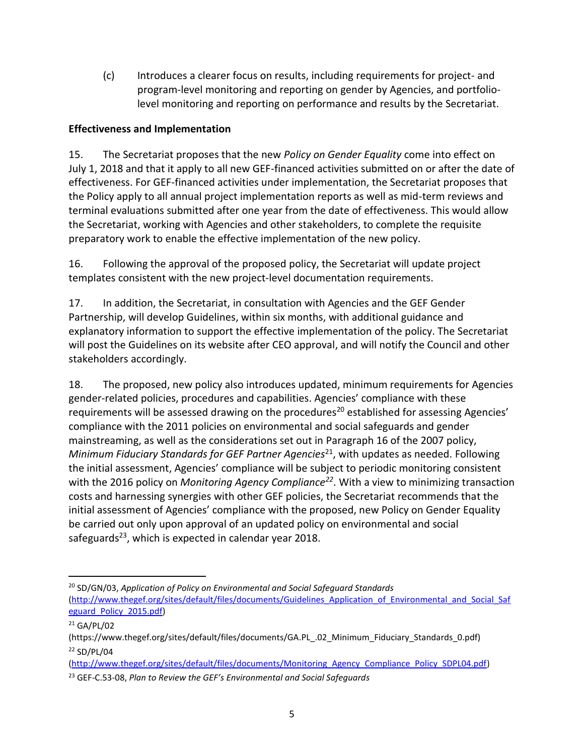(c) Introduces a clearer focus on results, including requirements for project- and program-level monitoring and reporting on gender by Agencies, and portfoliolevel monitoring and reporting on performance and results by the Secretariat.

# <span id="page-7-0"></span>**Effectiveness and Implementation**

15. The Secretariat proposes that the new *Policy on Gender Equality* come into effect on July 1, 2018 and that it apply to all new GEF-financed activities submitted on or after the date of effectiveness. For GEF-financed activities under implementation, the Secretariat proposes that the Policy apply to all annual project implementation reports as well as mid-term reviews and terminal evaluations submitted after one year from the date of effectiveness. This would allow the Secretariat, working with Agencies and other stakeholders, to complete the requisite preparatory work to enable the effective implementation of the new policy.

16. Following the approval of the proposed policy, the Secretariat will update project templates consistent with the new project-level documentation requirements.

17. In addition, the Secretariat, in consultation with Agencies and the GEF Gender Partnership, will develop Guidelines, within six months, with additional guidance and explanatory information to support the effective implementation of the policy. The Secretariat will post the Guidelines on its website after CEO approval, and will notify the Council and other stakeholders accordingly.

18. The proposed, new policy also introduces updated, minimum requirements for Agencies gender-related policies, procedures and capabilities. Agencies' compliance with these requirements will be assessed drawing on the procedures<sup>20</sup> established for assessing Agencies' compliance with the 2011 policies on environmental and social safeguards and gender mainstreaming, as well as the considerations set out in Paragraph 16 of the 2007 policy, *Minimum Fiduciary Standards for GEF Partner Agencies*<sup>21</sup> , with updates as needed. Following the initial assessment, Agencies' compliance will be subject to periodic monitoring consistent with the 2016 policy on *Monitoring Agency Compliance<sup>22</sup>*. With a view to minimizing transaction costs and harnessing synergies with other GEF policies, the Secretariat recommends that the initial assessment of Agencies' compliance with the proposed, new Policy on Gender Equality be carried out only upon approval of an updated policy on environmental and social safeguards<sup>23</sup>, which is expected in calendar year 2018.

 $\overline{a}$ <sup>20</sup> SD/GN/03, *Application of Policy on Environmental and Social Safeguard Standards* [\(http://www.thegef.org/sites/default/files/documents/Guidelines\\_Application\\_of\\_Environmental\\_and\\_Social\\_Saf](http://www.thegef.org/sites/default/files/documents/Guidelines_Application_of_Environmental_and_Social_Safeguard_Policy_2015.pdf) [eguard\\_Policy\\_2015.pdf\)](http://www.thegef.org/sites/default/files/documents/Guidelines_Application_of_Environmental_and_Social_Safeguard_Policy_2015.pdf)

 $21$  GA/PL/02

<sup>(</sup>https://www.thegef.org/sites/default/files/documents/GA.PL\_.02\_Minimum\_Fiduciary\_Standards\_0.pdf) <sup>22</sup> SD/PL/04

[<sup>\(</sup>http://www.thegef.org/sites/default/files/documents/Monitoring\\_Agency\\_Compliance\\_Policy\\_SDPL04.pdf\)](http://www.thegef.org/sites/default/files/documents/Monitoring_Agency_Compliance_Policy_SDPL04.pdf) <sup>23</sup> GEF-C.53-08, *Plan to Review the GEF's Environmental and Social Safeguards*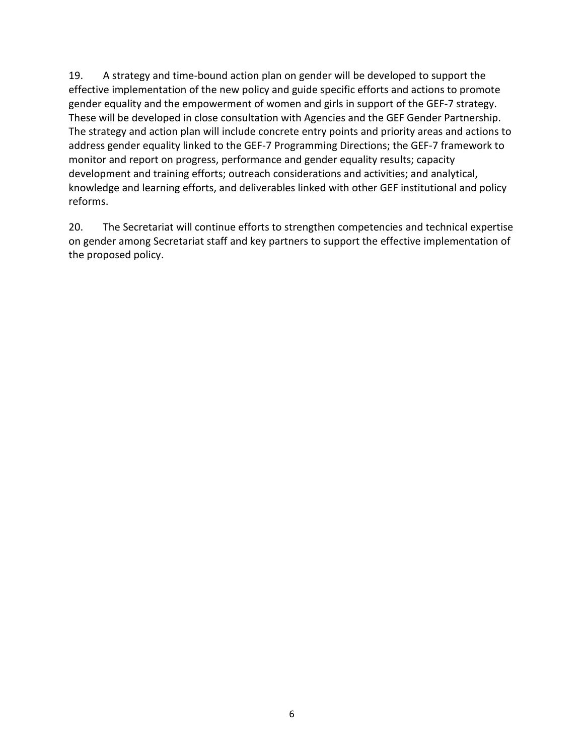19. A strategy and time-bound action plan on gender will be developed to support the effective implementation of the new policy and guide specific efforts and actions to promote gender equality and the empowerment of women and girls in support of the GEF-7 strategy. These will be developed in close consultation with Agencies and the GEF Gender Partnership. The strategy and action plan will include concrete entry points and priority areas and actions to address gender equality linked to the GEF-7 Programming Directions; the GEF-7 framework to monitor and report on progress, performance and gender equality results; capacity development and training efforts; outreach considerations and activities; and analytical, knowledge and learning efforts, and deliverables linked with other GEF institutional and policy reforms.

20. The Secretariat will continue efforts to strengthen competencies and technical expertise on gender among Secretariat staff and key partners to support the effective implementation of the proposed policy.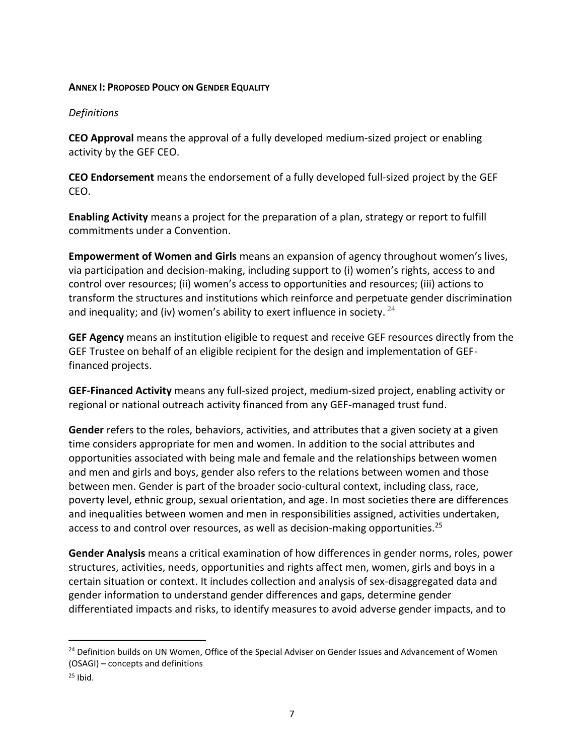#### <span id="page-9-0"></span>**ANNEX I: PROPOSED POLICY ON GENDER EQUALITY**

#### *Definitions*

**CEO Approval** means the approval of a fully developed medium-sized project or enabling activity by the GEF CEO.

**CEO Endorsement** means the endorsement of a fully developed full-sized project by the GEF CEO.

**Enabling Activity** means a project for the preparation of a plan, strategy or report to fulfill commitments under a Convention.

**Empowerment of Women and Girls** means an expansion of agency throughout women's lives, via participation and decision-making, including support to (i) women's rights, access to and control over resources; (ii) women's access to opportunities and resources; (iii) actions to transform the structures and institutions which reinforce and perpetuate gender discrimination and inequality; and (iv) women's ability to exert influence in society.  $24$ 

**GEF Agency** means an institution eligible to request and receive GEF resources directly from the GEF Trustee on behalf of an eligible recipient for the design and implementation of GEFfinanced projects.

**GEF-Financed Activity** means any full-sized project, medium-sized project, enabling activity or regional or national outreach activity financed from any GEF-managed trust fund.

**Gender** refers to the roles, behaviors, activities, and attributes that a given society at a given time considers appropriate for men and women. In addition to the social attributes and opportunities associated with being male and female and the relationships between women and men and girls and boys, gender also refers to the relations between women and those between men. Gender is part of the broader socio-cultural context, including class, race, poverty level, ethnic group, sexual orientation, and age. In most societies there are differences and inequalities between women and men in responsibilities assigned, activities undertaken, access to and control over resources, as well as decision-making opportunities. 25

**Gender Analysis** means a critical examination of how differences in gender norms, roles, power structures, activities, needs, opportunities and rights affect men, women, girls and boys in a certain situation or context. It includes collection and analysis of sex-disaggregated data and gender information to understand gender differences and gaps, determine gender differentiated impacts and risks, to identify measures to avoid adverse gender impacts, and to

 $\overline{a}$ 

<sup>&</sup>lt;sup>24</sup> Definition builds on UN Women, Office of the Special Adviser on Gender Issues and Advancement of Women (OSAGI) – concepts and definitions

 $25$  Ibid.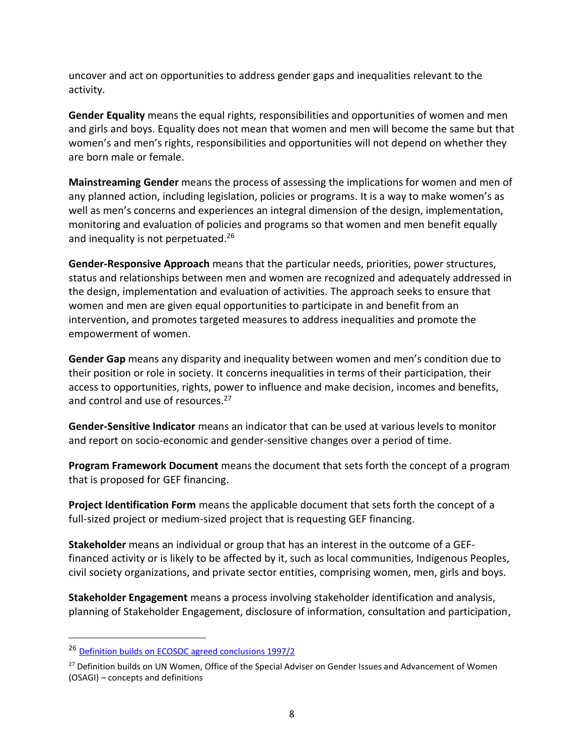uncover and act on opportunities to address gender gaps and inequalities relevant to the activity.

**Gender Equality** means the equal rights, responsibilities and opportunities of women and men and girls and boys. Equality does not mean that women and men will become the same but that women's and men's rights, responsibilities and opportunities will not depend on whether they are born male or female.

**Mainstreaming Gender** means the process of assessing the implications for women and men of any planned action, including legislation, policies or programs. It is a way to make women's as well as men's concerns and experiences an integral dimension of the design, implementation, monitoring and evaluation of policies and programs so that women and men benefit equally and inequality is not perpetuated.<sup>26</sup>

**Gender-Responsive Approach** means that the particular needs, priorities, power structures, status and relationships between men and women are recognized and adequately addressed in the design, implementation and evaluation of activities. The approach seeks to ensure that women and men are given equal opportunities to participate in and benefit from an intervention, and promotes targeted measures to address inequalities and promote the empowerment of women.

**Gender Gap** means any disparity and inequality between women and men's condition due to their position or role in society. It concerns inequalities in terms of their participation, their access to opportunities, rights, power to influence and make decision, incomes and benefits, and control and use of resources.<sup>27</sup>

**Gender-Sensitive Indicator** means an indicator that can be used at various levels to monitor and report on socio-economic and gender-sensitive changes over a period of time.

**Program Framework Document** means the document that sets forth the concept of a program that is proposed for GEF financing.

**Project Identification Form** means the applicable document that sets forth the concept of a full-sized project or medium-sized project that is requesting GEF financing.

**Stakeholder** means an individual or group that has an interest in the outcome of a GEFfinanced activity or is likely to be affected by it, such as local communities, Indigenous Peoples, civil society organizations, and private sector entities, comprising women, men, girls and boys.

**Stakeholder Engagement** means a process involving stakeholder identification and analysis, planning of Stakeholder Engagement, disclosure of information, consultation and participation,

 $\overline{a}$ 

<sup>26</sup> Definition builds on ECOSOC agreed conclusions 1997/2

<sup>&</sup>lt;sup>27</sup> Definition builds on UN Women, Office of the Special Adviser on Gender Issues and Advancement of Women (OSAGI) – concepts and definitions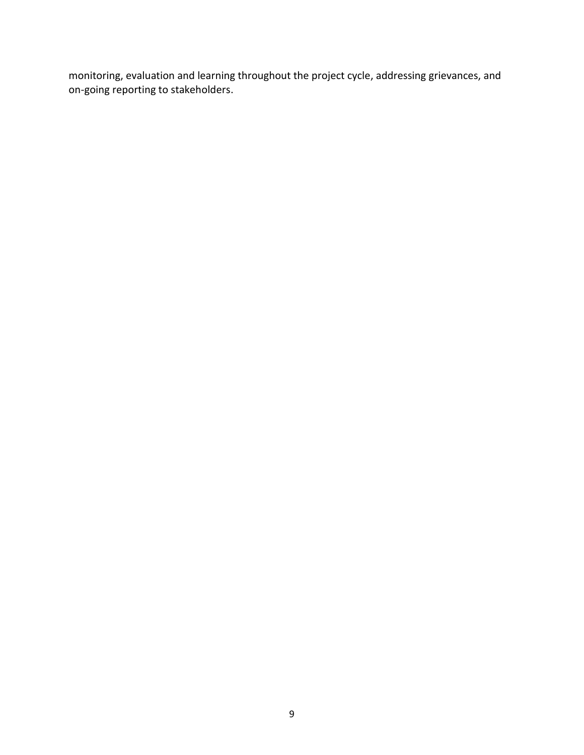monitoring, evaluation and learning throughout the project cycle, addressing grievances, and on-going reporting to stakeholders.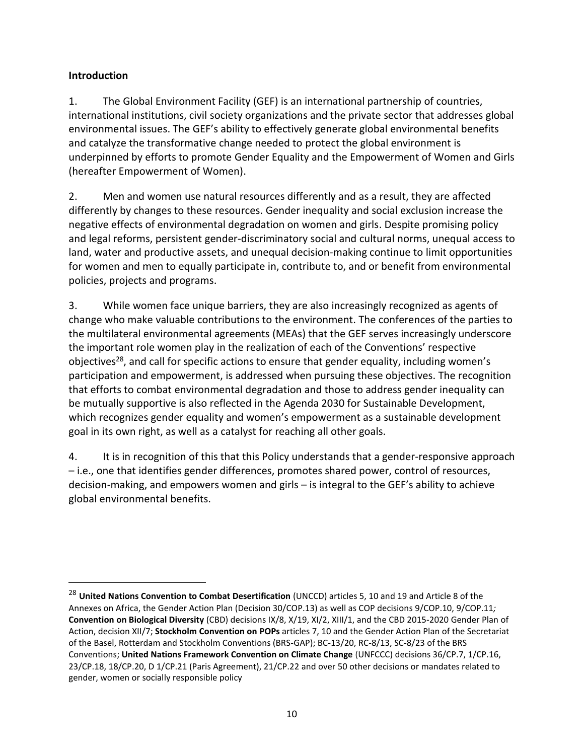### **Introduction**

 $\overline{a}$ 

1. The Global Environment Facility (GEF) is an international partnership of countries, international institutions, civil society organizations and the private sector that addresses global environmental issues. The GEF's ability to effectively generate global environmental benefits and catalyze the transformative change needed to protect the global environment is underpinned by efforts to promote Gender Equality and the Empowerment of Women and Girls (hereafter Empowerment of Women).

2. Men and women use natural resources differently and as a result, they are affected differently by changes to these resources. Gender inequality and social exclusion increase the negative effects of environmental degradation on women and girls. Despite promising policy and legal reforms, persistent gender-discriminatory social and cultural norms, unequal access to land, water and productive assets, and unequal decision-making continue to limit opportunities for women and men to equally participate in, contribute to, and or benefit from environmental policies, projects and programs.

3. While women face unique barriers, they are also increasingly recognized as agents of change who make valuable contributions to the environment. The conferences of the parties to the multilateral environmental agreements (MEAs) that the GEF serves increasingly underscore the important role women play in the realization of each of the Conventions' respective objectives<sup>28</sup>, and call for specific actions to ensure that gender equality, including women's participation and empowerment, is addressed when pursuing these objectives. The recognition that efforts to combat environmental degradation and those to address gender inequality can be mutually supportive is also reflected in the Agenda 2030 for Sustainable Development, which recognizes gender equality and women's empowerment as a sustainable development goal in its own right, as well as a catalyst for reaching all other goals.

4. It is in recognition of this that this Policy understands that a gender-responsive approach – i.e., one that identifies gender differences, promotes shared power, control of resources, decision-making, and empowers women and girls – is integral to the GEF's ability to achieve global environmental benefits.

<sup>28</sup> **United Nations Convention to Combat Desertification** (UNCCD) articles 5, 10 and 19 and Article 8 of the Annexes on Africa, the Gender Action Plan (Decision 30/COP.13) as well as COP decisions 9/COP.10, 9/COP.11*;*  **Convention on Biological Diversity** (CBD) decisions IX/8, X/19, XI/2, XIII/1, and the CBD 2015-2020 Gender Plan of Action, decision XII/7; **Stockholm Convention on POPs** articles 7, 10 and the Gender Action Plan of the Secretariat of the Basel, Rotterdam and Stockholm Conventions (BRS-GAP); BC-13/20, RC-8/13, SC-8/23 of the BRS Conventions; **United Nations Framework Convention on Climate Change** (UNFCCC) decisions 36/CP.7, 1/CP.16, 23/CP.18, 18/CP.20, D 1/CP.21 (Paris Agreement), 21/CP.22 and over 50 other decisions or mandates related to gender, women or socially responsible policy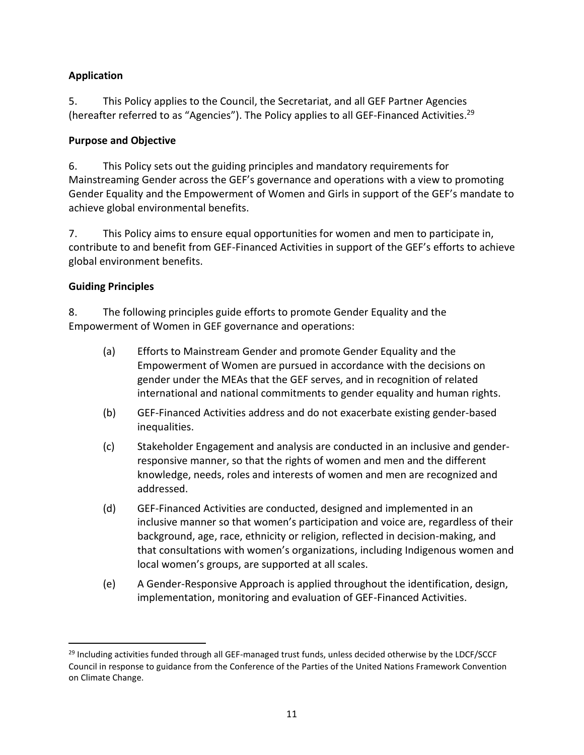### **Application**

5. This Policy applies to the Council, the Secretariat, and all GEF Partner Agencies (hereafter referred to as "Agencies"). The Policy applies to all GEF-Financed Activities.<sup>29</sup>

#### **Purpose and Objective**

6. This Policy sets out the guiding principles and mandatory requirements for Mainstreaming Gender across the GEF's governance and operations with a view to promoting Gender Equality and the Empowerment of Women and Girls in support of the GEF's mandate to achieve global environmental benefits.

7. This Policy aims to ensure equal opportunities for women and men to participate in, contribute to and benefit from GEF-Financed Activities in support of the GEF's efforts to achieve global environment benefits.

### **Guiding Principles**

 $\overline{a}$ 

8. The following principles guide efforts to promote Gender Equality and the Empowerment of Women in GEF governance and operations:

- (a) Efforts to Mainstream Gender and promote Gender Equality and the Empowerment of Women are pursued in accordance with the decisions on gender under the MEAs that the GEF serves, and in recognition of related international and national commitments to gender equality and human rights.
- (b) GEF-Financed Activities address and do not exacerbate existing gender-based inequalities.
- (c) Stakeholder Engagement and analysis are conducted in an inclusive and genderresponsive manner, so that the rights of women and men and the different knowledge, needs, roles and interests of women and men are recognized and addressed.
- (d) GEF-Financed Activities are conducted, designed and implemented in an inclusive manner so that women's participation and voice are, regardless of their background, age, race, ethnicity or religion, reflected in decision-making, and that consultations with women's organizations, including Indigenous women and local women's groups, are supported at all scales.
- (e) A Gender-Responsive Approach is applied throughout the identification, design, implementation, monitoring and evaluation of GEF-Financed Activities.

<sup>&</sup>lt;sup>29</sup> Including activities funded through all GEF-managed trust funds, unless decided otherwise by the LDCF/SCCF Council in response to guidance from the Conference of the Parties of the United Nations Framework Convention on Climate Change.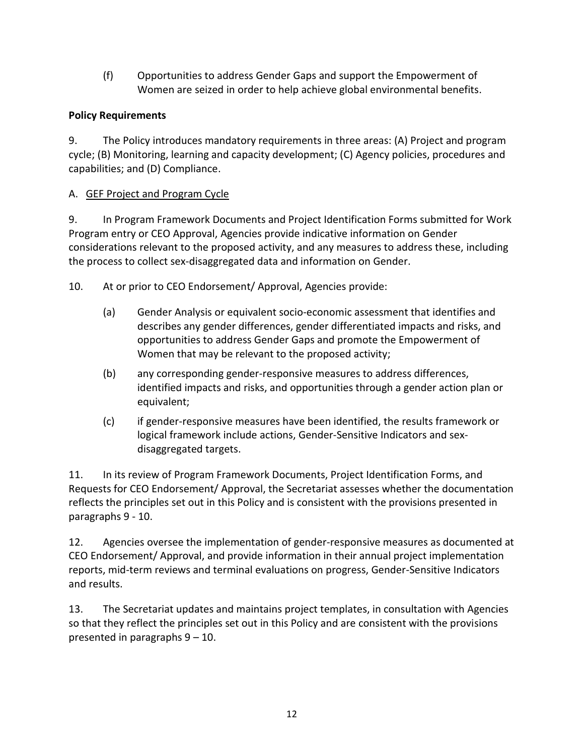(f) Opportunities to address Gender Gaps and support the Empowerment of Women are seized in order to help achieve global environmental benefits.

# **Policy Requirements**

9. The Policy introduces mandatory requirements in three areas: (A) Project and program cycle; (B) Monitoring, learning and capacity development; (C) Agency policies, procedures and capabilities; and (D) Compliance.

# A. GEF Project and Program Cycle

9. In Program Framework Documents and Project Identification Forms submitted for Work Program entry or CEO Approval, Agencies provide indicative information on Gender considerations relevant to the proposed activity, and any measures to address these, including the process to collect sex-disaggregated data and information on Gender.

10. At or prior to CEO Endorsement/ Approval, Agencies provide:

- (a) Gender Analysis or equivalent socio-economic assessment that identifies and describes any gender differences, gender differentiated impacts and risks, and opportunities to address Gender Gaps and promote the Empowerment of Women that may be relevant to the proposed activity;
- (b) any corresponding gender-responsive measures to address differences, identified impacts and risks, and opportunities through a gender action plan or equivalent;
- (c) if gender-responsive measures have been identified, the results framework or logical framework include actions, Gender-Sensitive Indicators and sexdisaggregated targets.

11. In its review of Program Framework Documents, Project Identification Forms, and Requests for CEO Endorsement/ Approval, the Secretariat assesses whether the documentation reflects the principles set out in this Policy and is consistent with the provisions presented in paragraphs 9 - 10.

12. Agencies oversee the implementation of gender-responsive measures as documented at CEO Endorsement/ Approval, and provide information in their annual project implementation reports, mid-term reviews and terminal evaluations on progress, Gender-Sensitive Indicators and results.

13. The Secretariat updates and maintains project templates, in consultation with Agencies so that they reflect the principles set out in this Policy and are consistent with the provisions presented in paragraphs 9 – 10.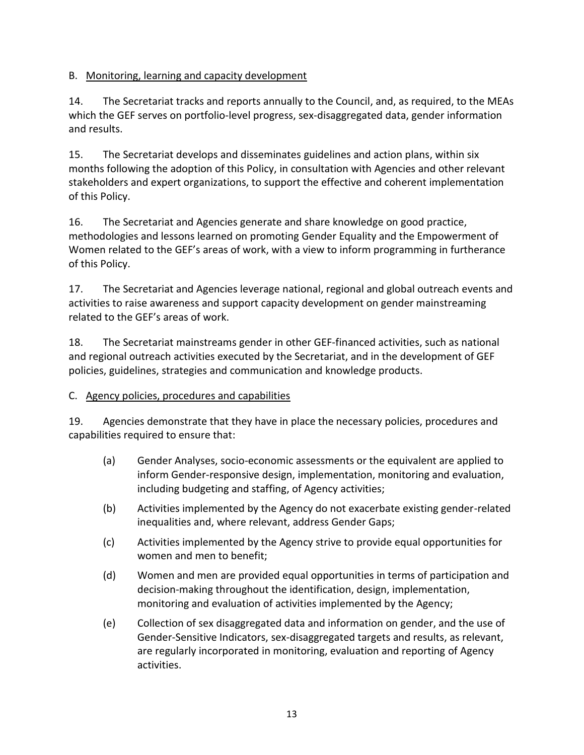# B. Monitoring, learning and capacity development

14. The Secretariat tracks and reports annually to the Council, and, as required, to the MEAs which the GEF serves on portfolio-level progress, sex-disaggregated data, gender information and results.

15. The Secretariat develops and disseminates guidelines and action plans, within six months following the adoption of this Policy, in consultation with Agencies and other relevant stakeholders and expert organizations, to support the effective and coherent implementation of this Policy.

16. The Secretariat and Agencies generate and share knowledge on good practice, methodologies and lessons learned on promoting Gender Equality and the Empowerment of Women related to the GEF's areas of work, with a view to inform programming in furtherance of this Policy.

17. The Secretariat and Agencies leverage national, regional and global outreach events and activities to raise awareness and support capacity development on gender mainstreaming related to the GEF's areas of work.

18. The Secretariat mainstreams gender in other GEF-financed activities, such as national and regional outreach activities executed by the Secretariat, and in the development of GEF policies, guidelines, strategies and communication and knowledge products.

#### C. Agency policies, procedures and capabilities

19. Agencies demonstrate that they have in place the necessary policies, procedures and capabilities required to ensure that:

- (a) Gender Analyses, socio-economic assessments or the equivalent are applied to inform Gender-responsive design, implementation, monitoring and evaluation, including budgeting and staffing, of Agency activities;
- (b) Activities implemented by the Agency do not exacerbate existing gender-related inequalities and, where relevant, address Gender Gaps;
- (c) Activities implemented by the Agency strive to provide equal opportunities for women and men to benefit;
- (d) Women and men are provided equal opportunities in terms of participation and decision-making throughout the identification, design, implementation, monitoring and evaluation of activities implemented by the Agency;
- (e) Collection of sex disaggregated data and information on gender, and the use of Gender-Sensitive Indicators, sex-disaggregated targets and results, as relevant, are regularly incorporated in monitoring, evaluation and reporting of Agency activities.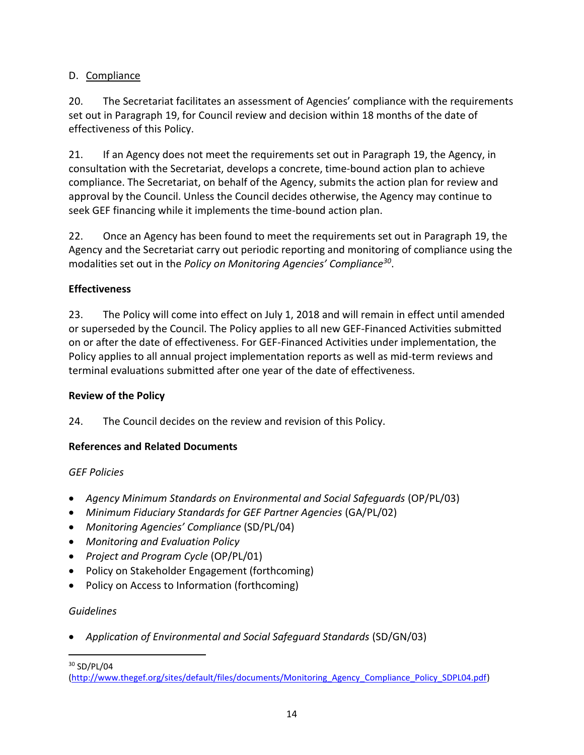# D. Compliance

20. The Secretariat facilitates an assessment of Agencies' compliance with the requirements set out in Paragraph 19, for Council review and decision within 18 months of the date of effectiveness of this Policy.

21. If an Agency does not meet the requirements set out in Paragraph 19, the Agency, in consultation with the Secretariat, develops a concrete, time-bound action plan to achieve compliance. The Secretariat, on behalf of the Agency, submits the action plan for review and approval by the Council. Unless the Council decides otherwise, the Agency may continue to seek GEF financing while it implements the time-bound action plan.

22. Once an Agency has been found to meet the requirements set out in Paragraph 19, the Agency and the Secretariat carry out periodic reporting and monitoring of compliance using the modalities set out in the *Policy on Monitoring Agencies' Compliance<sup>30</sup>* .

# **Effectiveness**

23. The Policy will come into effect on July 1, 2018 and will remain in effect until amended or superseded by the Council. The Policy applies to all new GEF-Financed Activities submitted on or after the date of effectiveness. For GEF-Financed Activities under implementation, the Policy applies to all annual project implementation reports as well as mid-term reviews and terminal evaluations submitted after one year of the date of effectiveness.

# **Review of the Policy**

24. The Council decides on the review and revision of this Policy.

# **References and Related Documents**

# *GEF Policies*

- *Agency Minimum Standards on Environmental and Social Safeguards* (OP/PL/03)
- *Minimum Fiduciary Standards for GEF Partner Agencies* (GA/PL/02)
- *Monitoring Agencies' Compliance* (SD/PL/04)
- *Monitoring and Evaluation Policy*
- *Project and Program Cycle* (OP/PL/01)
- Policy on Stakeholder Engagement (forthcoming)
- Policy on Access to Information (forthcoming)

# *Guidelines*

• *Application of Environmental and Social Safeguard Standards* (SD/GN/03)

 $\overline{a}$ <sup>30</sup> SD/PL/04

[<sup>\(</sup>http://www.thegef.org/sites/default/files/documents/Monitoring\\_Agency\\_Compliance\\_Policy\\_SDPL04.pdf\)](http://www.thegef.org/sites/default/files/documents/Monitoring_Agency_Compliance_Policy_SDPL04.pdf)